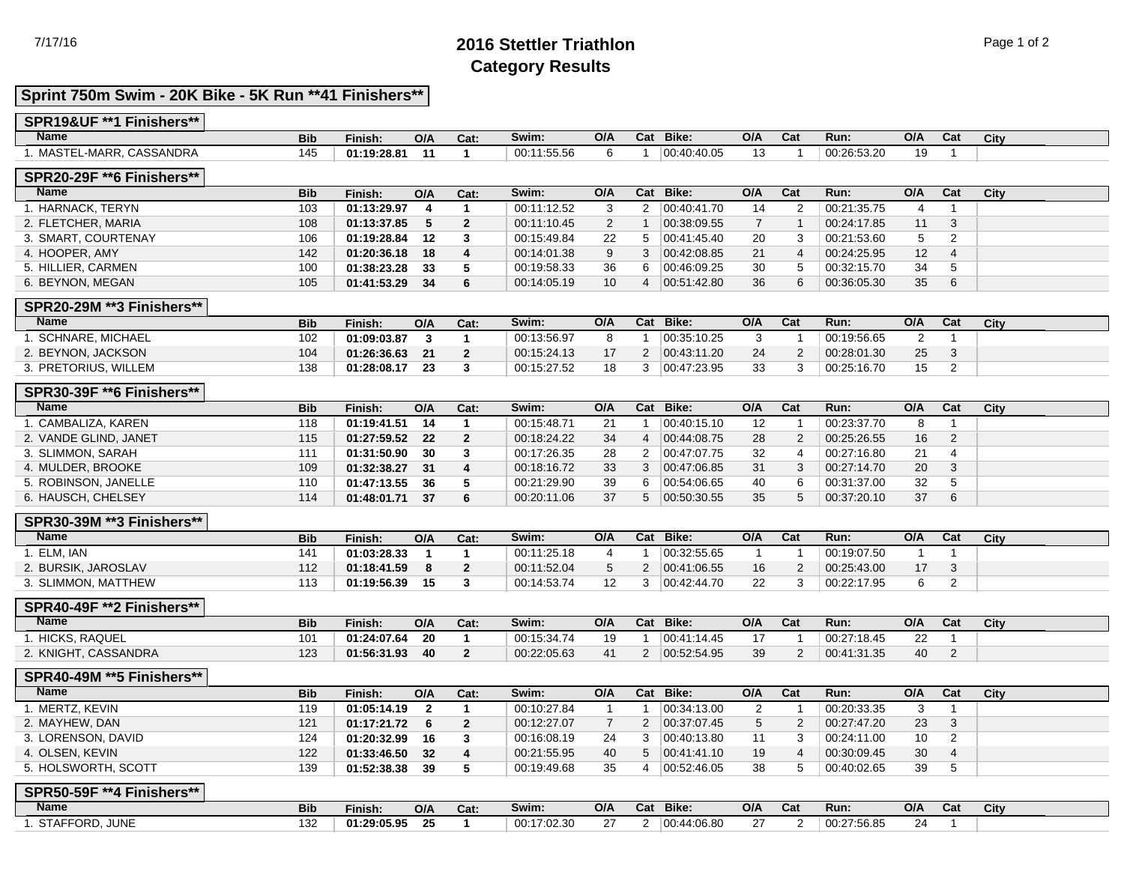# 7/17/16 **2016 Stettler Triathlon** Page 1 of 2 **Category Results**

## **Sprint 750m Swim - 20K Bike - 5K Run \*\*41 Finishers\*\***

| SPR19&UF **1 Finishers**          |            |                |                         |                         |             |                |                         |               |                |                         |             |                |                         |      |
|-----------------------------------|------------|----------------|-------------------------|-------------------------|-------------|----------------|-------------------------|---------------|----------------|-------------------------|-------------|----------------|-------------------------|------|
| <b>Name</b>                       | <b>Bib</b> | Finish:        | O/A                     | Cat:                    | Swim:       | O/A            |                         | Cat Bike:     | O/A            | Cat                     | Run:        | O/A            | Cat                     | City |
| 1. MASTEL-MARR, CASSANDRA         | 145        | 01:19:28.81    | 11                      | $\blacktriangleleft$    | 00:11:55.56 | 6              | $\overline{1}$          | 00:40:40.05   | 13             | $\overline{\mathbf{1}}$ | 00:26:53.20 | 19             | $\mathbf{1}$            |      |
| <b>SPR20-29F ** 6 Finishers**</b> |            |                |                         |                         |             |                |                         |               |                |                         |             |                |                         |      |
| <b>Name</b>                       | <b>Bib</b> | Finish:        | O/A                     | Cat:                    | Swim:       | O/A            |                         | Cat Bike:     | O/A            | $\overline{\text{Cat}}$ | Run:        | O/A            | $\overline{\text{Cat}}$ | City |
| 1. HARNACK, TERYN                 | 103        | 01:13:29.97    | $\overline{\mathbf{4}}$ | $\mathbf{1}$            | 00:11:12.52 | 3              | $\overline{2}$          | 00:40:41.70   | 14             | $\overline{2}$          | 00:21:35.75 | 4              | $\overline{1}$          |      |
| 2. FLETCHER, MARIA                | 108        | 01:13:37.85    | 5                       | $\overline{2}$          | 00:11:10.45 | $\overline{c}$ | $\mathbf{1}$            | 00:38:09.55   | $\overline{7}$ | $\overline{1}$          | 00:24:17.85 | 11             | 3                       |      |
| 3. SMART, COURTENAY               | 106        | 01:19:28.84    | 12                      | 3                       | 00:15:49.84 | 22             | 5                       | 00:41:45.40   | 20             | 3                       | 00:21:53.60 | 5              | $\overline{2}$          |      |
| 4. HOOPER, AMY                    | 142        | 01:20:36.18    | 18                      | $\overline{\mathbf{4}}$ | 00:14:01.38 | 9              | 3                       | 00:42:08.85   | 21             | $\overline{4}$          | 00:24:25.95 | 12             | 4                       |      |
| 5. HILLIER, CARMEN                | 100        | 01:38:23.28    | 33                      | 5                       | 00:19:58.33 | 36             | 6                       | 00:46:09.25   | 30             | 5                       | 00:32:15.70 | 34             | 5                       |      |
| 6. BEYNON, MEGAN                  | 105        | 01:41:53.29    | 34                      | 6                       | 00:14:05.19 | 10             | 4                       | 00.51.42.80   | 36             | 6                       | 00:36:05.30 | 35             | 6                       |      |
| <b>SPR20-29M **3 Finishers**</b>  |            |                |                         |                         |             |                |                         |               |                |                         |             |                |                         |      |
| <b>Name</b>                       | <b>Bib</b> | Finish:        | O/A                     | Cat:                    | Swim:       | O/A            |                         | Cat Bike:     | O/A            | Cat                     | Run:        | O/A            | Cat                     | City |
| 1. SCHNARE, MICHAEL               | 102        | 01:09:03.87    | $\overline{\mathbf{3}}$ | $\mathbf{1}$            | 00:13:56.97 | 8              | $\overline{\mathbf{1}}$ | 00:35:10.25   | 3              | -1                      | 00:19:56.65 | $\overline{2}$ | $\mathbf{1}$            |      |
| 2. BEYNON, JACKSON                | 104        | 01:26:36.63    | 21                      | $\overline{2}$          | 00:15:24.13 | 17             |                         | 2 00:43:11.20 | 24             | $\overline{2}$          | 00:28:01.30 | 25             | 3                       |      |
| 3. PRETORIUS, WILLEM              | 138        | 01:28:08.17    | 23                      | 3                       | 00:15:27.52 | 18             | 3                       | 00.47:23.95   | 33             | 3                       | 00:25:16.70 | 15             | $\overline{2}$          |      |
| <b>SPR30-39F ** 6 Finishers**</b> |            |                |                         |                         |             |                |                         |               |                |                         |             |                |                         |      |
| <b>Name</b>                       | <b>Bib</b> | Finish:        | O/A                     | Cat:                    | Swim:       | O/A            |                         | Cat Bike:     | O/A            | Cat                     | Run:        | O/A            | Cat                     | City |
| 1. CAMBALIZA, KAREN               | 118        | 01:19:41.51    | - 14                    | $\mathbf{1}$            | 00:15:48.71 | 21             | -1                      | 00:40:15.10   | 12             | $\overline{1}$          | 00:23:37.70 | 8              | $\mathbf{1}$            |      |
| 2. VANDE GLIND, JANET             | 115        | 01:27:59.52    | 22                      | $\overline{2}$          | 00:18:24.22 | 34             | $\overline{4}$          | 00:44:08.75   | 28             | $\overline{2}$          | 00:25:26.55 | 16             | 2                       |      |
| 3. SLIMMON, SARAH                 | 111        | 01:31:50.90    | 30                      | 3                       | 00:17:26.35 | 28             | $\overline{2}$          | 00:47:07.75   | 32             | 4                       | 00:27:16.80 | 21             | 4                       |      |
| 4. MULDER, BROOKE                 | 109        | 01:32:38.27    | 31                      | $\overline{4}$          | 00:18:16.72 | 33             | 3                       | 00:47:06.85   | 31             | 3                       | 00:27:14.70 | 20             | 3                       |      |
| 5. ROBINSON, JANELLE              | 110        | 01:47:13.55    | 36                      | 5                       | 00:21:29.90 | 39             | 6                       | 00:54:06.65   | 40             | 6                       | 00:31:37.00 | 32             | 5                       |      |
| 6. HAUSCH, CHELSEY                | 114        | 01:48:01.71    | 37                      | 6                       | 00:20:11.06 | 37             | 5                       | 00:50:30.55   | 35             | 5                       | 00:37:20.10 | 37             | $\,6$                   |      |
| <b>SPR30-39M **3 Finishers**</b>  |            |                |                         |                         |             |                |                         |               |                |                         |             |                |                         |      |
| <b>Name</b>                       | <b>Bib</b> | Finish:        | O/A                     | Cat:                    | Swim:       | O/A            |                         | Cat Bike:     | O/A            | Cat                     | Run:        | O/A            | Cat                     | City |
| 1. ELM. IAN                       | 141        | 01:03:28.33    | $\overline{1}$          | $\mathbf{1}$            | 00:11:25.18 | 4              | -1                      | 00:32:55.65   | $\overline{1}$ | $\overline{1}$          | 00:19:07.50 | $\overline{1}$ | $\mathbf{1}$            |      |
| 2. BURSIK, JAROSLAV               | 112        | 01:18:41.59    | 8                       | $\overline{2}$          | 00:11:52.04 | 5              | $\overline{2}$          | 00.41.06.55   | 16             | $\overline{2}$          | 00:25:43.00 | 17             | 3                       |      |
| 3. SLIMMON, MATTHEW               | 113        | 01:19:56.39    | - 15                    | 3                       | 00:14:53.74 | 12             | 3                       | 00:42:44.70   | 22             | 3                       | 00:22:17.95 | 6              | $\overline{2}$          |      |
| SPR40-49F ** 2 Finishers**        |            |                |                         |                         |             |                |                         |               |                |                         |             |                |                         |      |
| <b>Name</b>                       | <b>Bib</b> | Finish:        | O/A                     | Cat:                    | Swim:       | O/A            |                         | Cat Bike:     | O/A            | Cat                     | Run:        | O/A            | Cat                     | City |
| 1. HICKS, RAQUEL                  | 101        | 01:24:07.64    | 20                      | $\mathbf{1}$            | 00:15:34.74 | 19             | -1                      | 00:41:14.45   | 17             |                         | 00:27:18.45 | 22             | $\mathbf{1}$            |      |
| 2. KNIGHT, CASSANDRA              | 123        | 01:56:31.93 40 |                         | $\overline{2}$          | 00:22:05.63 | 41             |                         | 2 00:52:54.95 | 39             | $\overline{2}$          | 00:41:31.35 | 40             | $\overline{2}$          |      |
| SPR40-49M ** 5 Finishers**        |            |                |                         |                         |             |                |                         |               |                |                         |             |                |                         |      |
| <b>Name</b>                       | <b>Bib</b> | Finish:        | O/A                     | Cat:                    | Swim:       | O/A            |                         | Cat Bike:     | O/A            | Cat                     | Run:        | O/A            | Cat                     | City |
| 1. MERTZ, KEVIN                   | 119        | 01:05:14.19    | $\overline{\mathbf{2}}$ | $\mathbf{1}$            | 00:10:27.84 | $\overline{1}$ | -1                      | 00:34:13.00   | $\overline{2}$ | -1                      | 00:20:33.35 | 3              | $\mathbf{1}$            |      |
| 2. MAYHEW, DAN                    | 121        | 01:17:21.72    | 6                       | $\overline{2}$          | 00:12:27.07 | $\overline{7}$ | $\overline{2}$          | 00.37.07.45   | $\sqrt{5}$     | $\overline{2}$          | 00:27:47.20 | 23             | $\mathbf{3}$            |      |
| 3. LORENSON, DAVID                | 124        | 01:20:32.99    | 16                      | 3                       | 00:16:08.19 | 24             | 3                       | 00:40:13.80   | 11             | 3                       | 00:24:11.00 | 10             | $\overline{2}$          |      |
| 4. OLSEN, KEVIN                   | 122        | 01:33:46.50    | 32                      | $\overline{4}$          | 00:21:55.95 | 40             | 5                       | 00.41.41.10   | 19             | $\overline{4}$          | 00:30:09.45 | 30             | 4                       |      |
| 5. HOLSWORTH, SCOTT               | 139        | 01:52:38.38    | 39                      | 5                       | 00:19:49.68 | 35             | $\overline{4}$          | 00.52.46.05   | 38             | 5                       | 00:40:02.65 | 39             | 5                       |      |

| <b>Name</b>                | <b>Bib</b> | Finish:     | O/A       | Cat: | Swim.                     | O/A    | udl | Bike:                       | O/A | $\sim$ $-$<br>ual | Run.                   | O/A | Cat | City |  |
|----------------------------|------------|-------------|-----------|------|---------------------------|--------|-----|-----------------------------|-----|-------------------|------------------------|-----|-----|------|--|
| STAFFORD, JUNE<br>- 91 A I | 132        | 01:29:05.95 | $-$<br>∠J |      | 00:17<br>ים החי<br>7.02.S | $\sim$ |     | 4:06.80<br>$\sim$<br>. 44'' | ົ   |                   | :27:56.85<br>$^+$ 00.∠ | 24  |     |      |  |